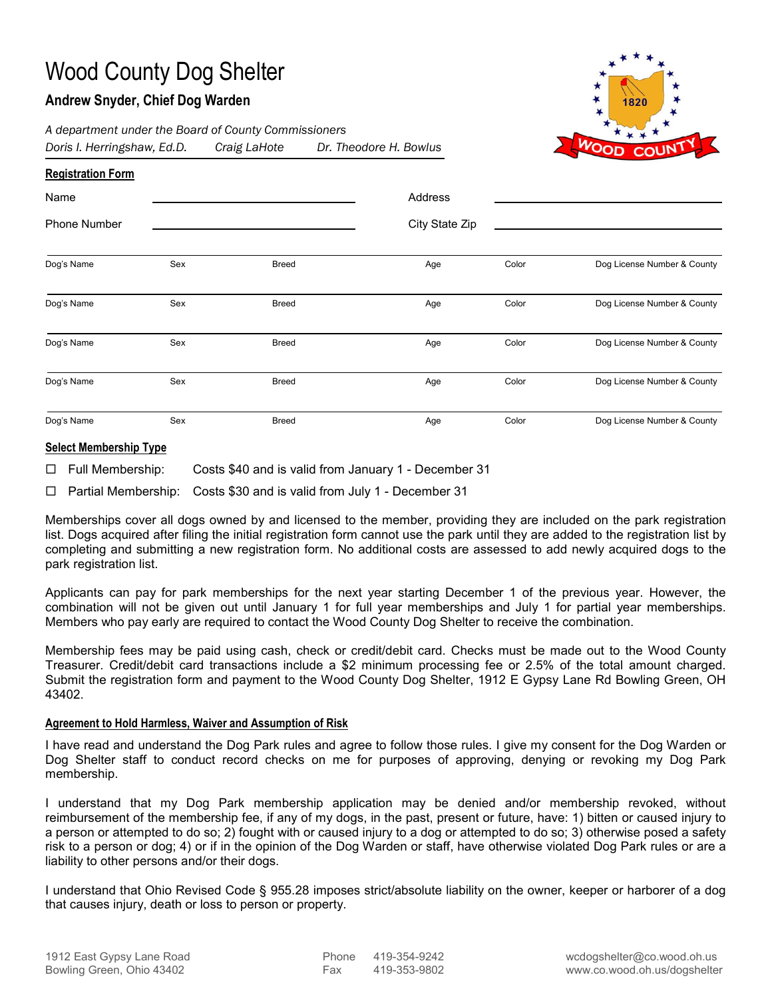# Wood County Dog Shelter

## **Andrew Snyder, Chief Dog Warden**



*A department under the Board of County Commissioners Doris I. Herringshaw, Ed.D. Craig LaHote Dr. Theodore H. Bowlus*

| <b>Registration Form</b>    |     |              |                |       |                             |
|-----------------------------|-----|--------------|----------------|-------|-----------------------------|
| Name<br><b>Phone Number</b> |     |              | Address        |       |                             |
|                             |     |              | City State Zip |       |                             |
|                             |     |              |                |       |                             |
| Dog's Name                  | Sex | <b>Breed</b> | Age            | Color | Dog License Number & County |
| Dog's Name                  | Sex | Breed        | Age            | Color | Dog License Number & County |
| Dog's Name                  | Sex | <b>Breed</b> | Age            | Color | Dog License Number & County |
| Dog's Name                  | Sex | <b>Breed</b> | Age            | Color | Dog License Number & County |
| Dog's Name                  | Sex | <b>Breed</b> | Age            | Color | Dog License Number & County |

#### **Select Membership Type**

 $\Box$  Full Membership: Costs \$40 and is valid from January 1 - December 31

 $\Box$  Partial Membership: Costs \$30 and is valid from July 1 - December 31

Memberships cover all dogs owned by and licensed to the member, providing they are included on the park registration list. Dogs acquired after filing the initial registration form cannot use the park until they are added to the registration list by completing and submitting a new registration form. No additional costs are assessed to add newly acquired dogs to the park registration list.

Applicants can pay for park memberships for the next year starting December 1 of the previous year. However, the combination will not be given out until January 1 for full year memberships and July 1 for partial year memberships. Members who pay early are required to contact the Wood County Dog Shelter to receive the combination.

Membership fees may be paid using cash, check or credit/debit card. Checks must be made out to the Wood County Treasurer. Credit/debit card transactions include a \$2 minimum processing fee or 2.5% of the total amount charged. Submit the registration form and payment to the Wood County Dog Shelter, 1912 E Gypsy Lane Rd Bowling Green, OH 43402.

#### **Agreement to Hold Harmless, Waiver and Assumption of Risk**

I have read and understand the Dog Park rules and agree to follow those rules. I give my consent for the Dog Warden or Dog Shelter staff to conduct record checks on me for purposes of approving, denying or revoking my Dog Park membership.

I understand that my Dog Park membership application may be denied and/or membership revoked, without reimbursement of the membership fee, if any of my dogs, in the past, present or future, have: 1) bitten or caused injury to a person or attempted to do so; 2) fought with or caused injury to a dog or attempted to do so; 3) otherwise posed a safety risk to a person or dog; 4) or if in the opinion of the Dog Warden or staff, have otherwise violated Dog Park rules or are a liability to other persons and/or their dogs.

I understand that Ohio Revised Code § 955.28 imposes strict/absolute liability on the owner, keeper or harborer of a dog that causes injury, death or loss to person or property.